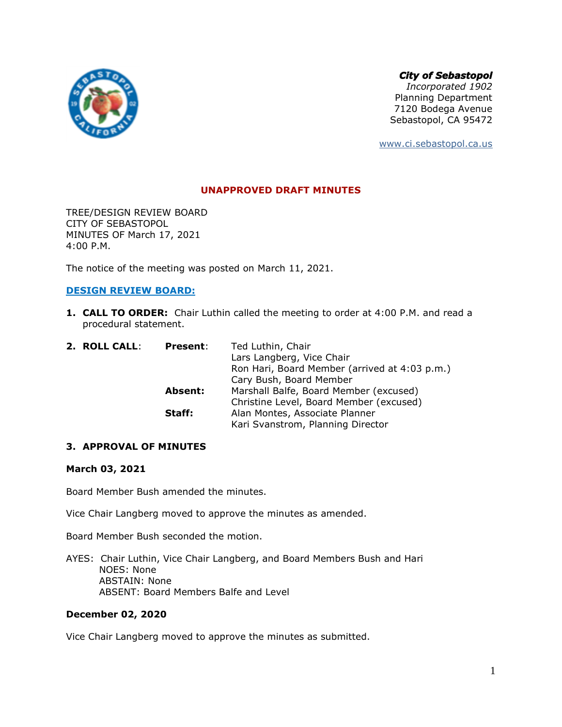

*City of Sebastopol*

*Incorporated 1902* Planning Department 7120 Bodega Avenue Sebastopol, CA 95472

[www.ci.sebastopol.ca.us](http://www.ci.sebastopol.ca.us/)

## **UNAPPROVED DRAFT MINUTES**

TREE/DESIGN REVIEW BOARD CITY OF SEBASTOPOL MINUTES OF March 17, 2021 4:00 P.M.

The notice of the meeting was posted on March 11, 2021.

# **DESIGN REVIEW BOARD:**

**1. CALL TO ORDER:** Chair Luthin called the meeting to order at 4:00 P.M. and read a procedural statement.

| 2. ROLL CALL: | <b>Present:</b> | Ted Luthin, Chair                             |
|---------------|-----------------|-----------------------------------------------|
|               |                 | Lars Langberg, Vice Chair                     |
|               |                 | Ron Hari, Board Member (arrived at 4:03 p.m.) |
|               |                 | Cary Bush, Board Member                       |
|               | <b>Absent:</b>  | Marshall Balfe, Board Member (excused)        |
|               |                 | Christine Level, Board Member (excused)       |
|               | Staff:          | Alan Montes, Associate Planner                |
|               |                 | Kari Svanstrom, Planning Director             |

## **3. APPROVAL OF MINUTES**

## **March 03, 2021**

Board Member Bush amended the minutes.

Vice Chair Langberg moved to approve the minutes as amended.

Board Member Bush seconded the motion.

AYES: Chair Luthin, Vice Chair Langberg, and Board Members Bush and Hari NOES: None ABSTAIN: None ABSENT: Board Members Balfe and Level

## **December 02, 2020**

Vice Chair Langberg moved to approve the minutes as submitted.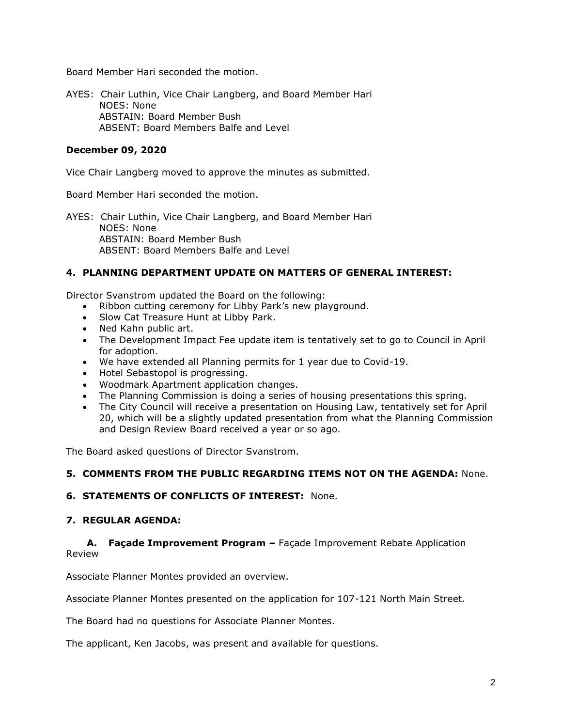Board Member Hari seconded the motion.

AYES: Chair Luthin, Vice Chair Langberg, and Board Member Hari NOES: None ABSTAIN: Board Member Bush ABSENT: Board Members Balfe and Level

## **December 09, 2020**

Vice Chair Langberg moved to approve the minutes as submitted.

Board Member Hari seconded the motion.

AYES: Chair Luthin, Vice Chair Langberg, and Board Member Hari NOES: None ABSTAIN: Board Member Bush ABSENT: Board Members Balfe and Level

# **4. PLANNING DEPARTMENT UPDATE ON MATTERS OF GENERAL INTEREST:**

Director Svanstrom updated the Board on the following:

- Ribbon cutting ceremony for Libby Park's new playground.
- Slow Cat Treasure Hunt at Libby Park.
- Ned Kahn public art.
- The Development Impact Fee update item is tentatively set to go to Council in April for adoption.
- We have extended all Planning permits for 1 year due to Covid-19.
- Hotel Sebastopol is progressing.
- Woodmark Apartment application changes.
- The Planning Commission is doing a series of housing presentations this spring.
- The City Council will receive a presentation on Housing Law, tentatively set for April 20, which will be a slightly updated presentation from what the Planning Commission and Design Review Board received a year or so ago.

The Board asked questions of Director Svanstrom.

## **5. COMMENTS FROM THE PUBLIC REGARDING ITEMS NOT ON THE AGENDA:** None.

## **6. STATEMENTS OF CONFLICTS OF INTEREST:** None.

## **7. REGULAR AGENDA:**

**A. Façade Improvement Program –** Façade Improvement Rebate Application Review

Associate Planner Montes provided an overview.

Associate Planner Montes presented on the application for 107-121 North Main Street.

The Board had no questions for Associate Planner Montes.

The applicant, Ken Jacobs, was present and available for questions.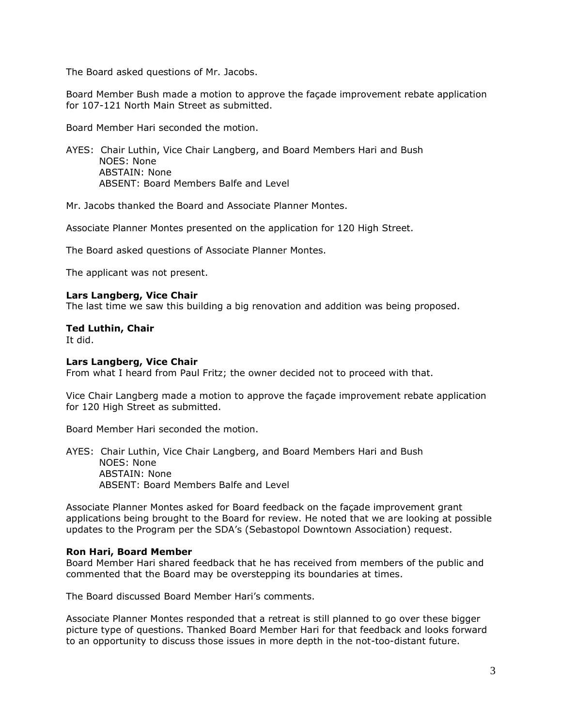The Board asked questions of Mr. Jacobs.

Board Member Bush made a motion to approve the façade improvement rebate application for 107-121 North Main Street as submitted.

Board Member Hari seconded the motion.

AYES: Chair Luthin, Vice Chair Langberg, and Board Members Hari and Bush NOES: None ABSTAIN: None ABSENT: Board Members Balfe and Level

Mr. Jacobs thanked the Board and Associate Planner Montes.

Associate Planner Montes presented on the application for 120 High Street.

The Board asked questions of Associate Planner Montes.

The applicant was not present.

#### **Lars Langberg, Vice Chair**

The last time we saw this building a big renovation and addition was being proposed.

#### **Ted Luthin, Chair**

It did.

#### **Lars Langberg, Vice Chair**

From what I heard from Paul Fritz; the owner decided not to proceed with that.

Vice Chair Langberg made a motion to approve the façade improvement rebate application for 120 High Street as submitted.

Board Member Hari seconded the motion.

AYES: Chair Luthin, Vice Chair Langberg, and Board Members Hari and Bush NOES: None ABSTAIN: None ABSENT: Board Members Balfe and Level

Associate Planner Montes asked for Board feedback on the façade improvement grant applications being brought to the Board for review. He noted that we are looking at possible updates to the Program per the SDA's (Sebastopol Downtown Association) request.

## **Ron Hari, Board Member**

Board Member Hari shared feedback that he has received from members of the public and commented that the Board may be overstepping its boundaries at times.

The Board discussed Board Member Hari's comments.

Associate Planner Montes responded that a retreat is still planned to go over these bigger picture type of questions. Thanked Board Member Hari for that feedback and looks forward to an opportunity to discuss those issues in more depth in the not-too-distant future.